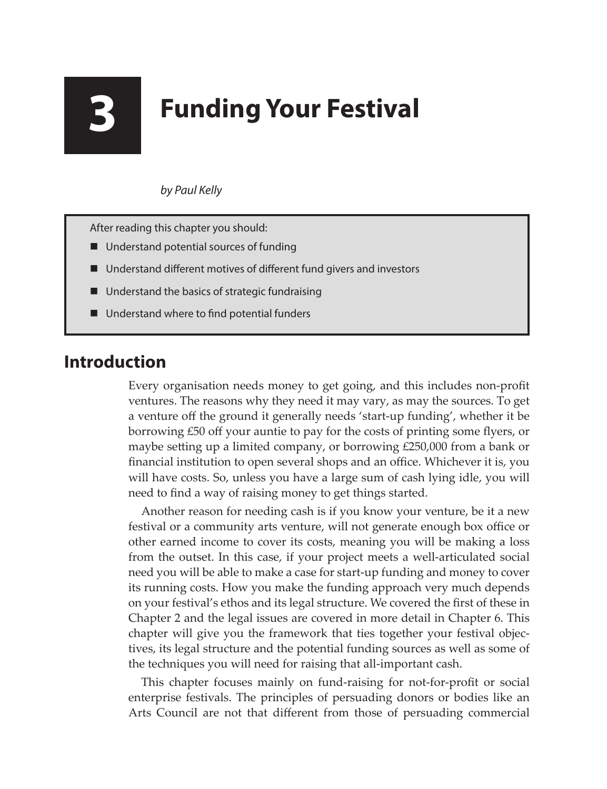# **3 Funding Your Festival**

#### *by Paul Kelly*

After reading this chapter you should:

- Understand potential sources of funding
- Understand different motives of different fund givers and investors
- Understand the basics of strategic fundraising
- Understand where to find potential funders

## **Introduction**

Every organisation needs money to get going, and this includes non-profit ventures. The reasons why they need it may vary, as may the sources. To get a venture off the ground it generally needs 'start-up funding', whether it be borrowing £50 off your auntie to pay for the costs of printing some flyers, or maybe setting up a limited company, or borrowing £250,000 from a bank or financial institution to open several shops and an office. Whichever it is, you will have costs. So, unless you have a large sum of cash lying idle, you will need to find a way of raising money to get things started.

Another reason for needing cash is if you know your venture, be it a new festival or a community arts venture, will not generate enough box office or other earned income to cover its costs, meaning you will be making a loss from the outset. In this case, if your project meets a well-articulated social need you will be able to make a case for start-up funding and money to cover its running costs. How you make the funding approach very much depends on your festival's ethos and its legal structure. We covered the first of these in Chapter 2 and the legal issues are covered in more detail in Chapter 6. This chapter will give you the framework that ties together your festival objectives, its legal structure and the potential funding sources as well as some of the techniques you will need for raising that all-important cash.

This chapter focuses mainly on fund-raising for not-for-profit or social enterprise festivals. The principles of persuading donors or bodies like an Arts Council are not that different from those of persuading commercial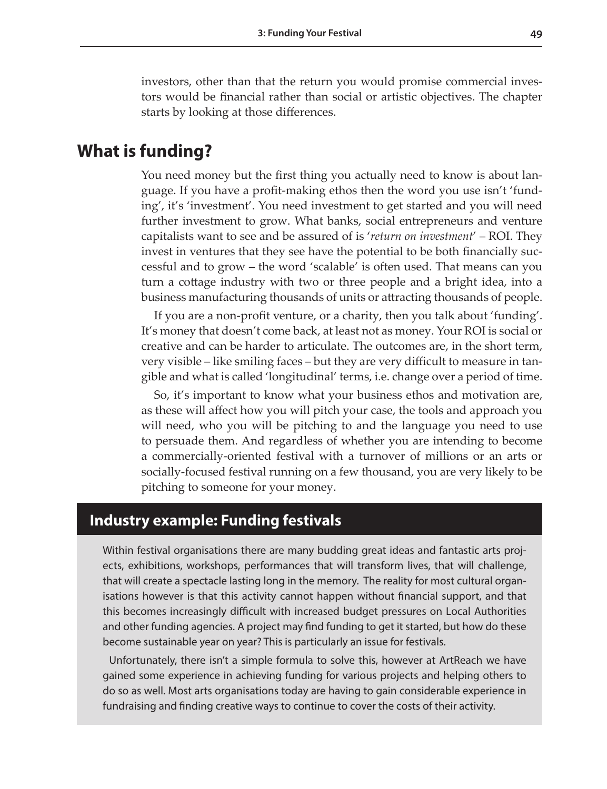investors, other than that the return you would promise commercial investors would be financial rather than social or artistic objectives. The chapter starts by looking at those differences.

### **What is funding?**

You need money but the first thing you actually need to know is about language. If you have a profit-making ethos then the word you use isn't 'funding', it's 'investment'. You need investment to get started and you will need further investment to grow. What banks, social entrepreneurs and venture capitalists want to see and be assured of is '*return on investment*' – ROI. They invest in ventures that they see have the potential to be both financially successful and to grow – the word 'scalable' is often used. That means can you turn a cottage industry with two or three people and a bright idea, into a business manufacturing thousands of units or attracting thousands of people.

If you are a non-profit venture, or a charity, then you talk about 'funding'. It's money that doesn't come back, at least not as money. Your ROI is social or creative and can be harder to articulate. The outcomes are, in the short term, very visible – like smiling faces – but they are very difficult to measure in tangible and what is called 'longitudinal' terms, i.e. change over a period of time.

So, it's important to know what your business ethos and motivation are, as these will affect how you will pitch your case, the tools and approach you will need, who you will be pitching to and the language you need to use to persuade them. And regardless of whether you are intending to become a commercially-oriented festival with a turnover of millions or an arts or socially-focused festival running on a few thousand, you are very likely to be pitching to someone for your money.

#### **Industry example: Funding festivals**

Within festival organisations there are many budding great ideas and fantastic arts projects, exhibitions, workshops, performances that will transform lives, that will challenge, that will create a spectacle lasting long in the memory. The reality for most cultural organisations however is that this activity cannot happen without financial support, and that this becomes increasingly difficult with increased budget pressures on Local Authorities and other funding agencies. A project may find funding to get it started, but how do these become sustainable year on year? This is particularly an issue for festivals.

Unfortunately, there isn't a simple formula to solve this, however at ArtReach we have gained some experience in achieving funding for various projects and helping others to do so as well. Most arts organisations today are having to gain considerable experience in fundraising and finding creative ways to continue to cover the costs of their activity.